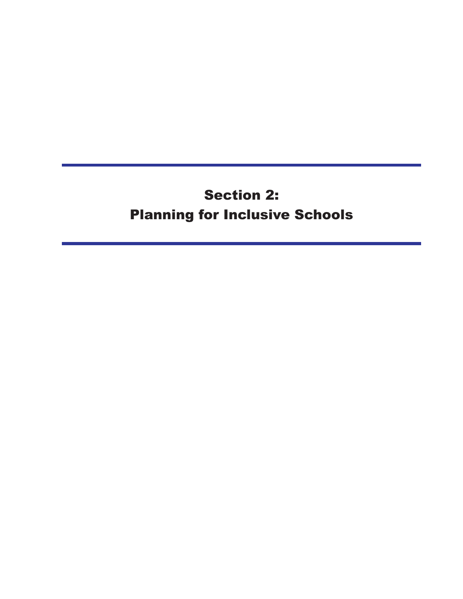# **Section 2: Planning for Inclusive Schools**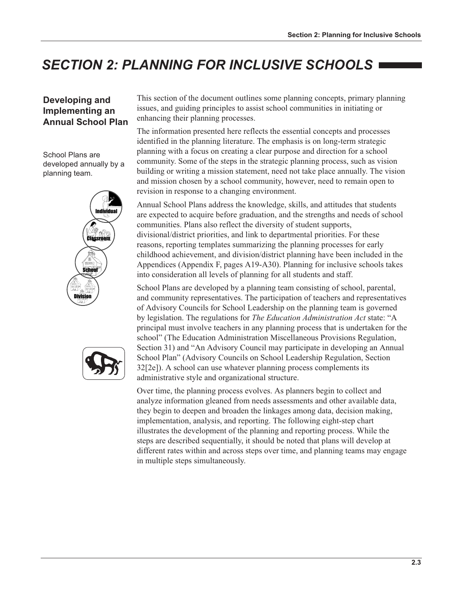# **SECTION 2: PLANNING FOR INCLUSIVE SCHOOLS**

### Developing and Implementing an **Annual School Plan**

School Plans are developed annually by a planning team.





This section of the document outlines some planning concepts, primary planning issues, and guiding principles to assist school communities in initiating or enhancing their planning processes.

The information presented here reflects the essential concepts and processes identified in the planning literature. The emphasis is on long-term strategic planning with a focus on creating a clear purpose and direction for a school community. Some of the steps in the strategic planning process, such as vision building or writing a mission statement, need not take place annually. The vision and mission chosen by a school community, however, need to remain open to revision in response to a changing environment.

Annual School Plans address the knowledge, skills, and attitudes that students are expected to acquire before graduation, and the strengths and needs of school communities. Plans also reflect the diversity of student supports, divisional/district priorities, and link to departmental priorities. For these reasons, reporting templates summarizing the planning processes for early childhood achievement, and division/district planning have been included in the Appendices (Appendix F, pages A19-A30). Planning for inclusive schools takes into consideration all levels of planning for all students and staff.

School Plans are developed by a planning team consisting of school, parental, and community representatives. The participation of teachers and representatives of Advisory Councils for School Leadership on the planning team is governed by legislation. The regulations for The Education Administration Act state: "A principal must involve teachers in any planning process that is undertaken for the school" (The Education Administration Miscellaneous Provisions Regulation, Section 31) and "An Advisory Council may participate in developing an Annual School Plan" (Advisory Councils on School Leadership Regulation, Section 32[2e]). A school can use whatever planning process complements its administrative style and organizational structure.

Over time, the planning process evolves. As planners begin to collect and analyze information gleaned from needs assessments and other available data, they begin to deepen and broaden the linkages among data, decision making, implementation, analysis, and reporting. The following eight-step chart illustrates the development of the planning and reporting process. While the steps are described sequentially, it should be noted that plans will develop at different rates within and across steps over time, and planning teams may engage in multiple steps simultaneously.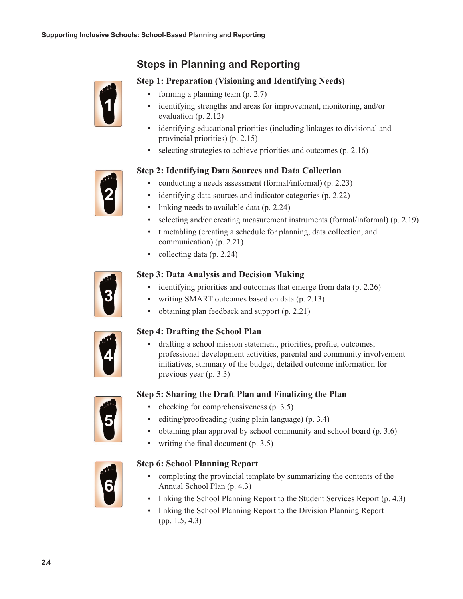## **Steps in Planning and Reporting**

### **Step 1: Preparation (Visioning and Identifying Needs)**

- forming a planning team  $(p. 2.7)$ 
	- identifying strengths and areas for improvement, monitoring, and/or evaluation  $(p. 2.12)$
	- identifying educational priorities (including linkages to divisional and provincial priorities) (p. 2.15)
	- selecting strategies to achieve priorities and outcomes (p. 2.16)



- conducting a needs assessment (formal/informal) (p. 2.23)
- identifying data sources and indicator categories (p. 2.22)
- linking needs to available data (p. 2.24)
- selecting and/or creating measurement instruments (formal/informal) (p. 2.19)
- timetabling (creating a schedule for planning, data collection, and communication)  $(p, 2.21)$
- collecting data (p. 2.24)  $\bullet$



### **Step 3: Data Analysis and Decision Making**

- identifying priorities and outcomes that emerge from data (p. 2.26)
- writing SMART outcomes based on data (p. 2.13)
- obtaining plan feedback and support (p. 2.21)



### **Step 4: Drafting the School Plan**

drafting a school mission statement, priorities, profile, outcomes, professional development activities, parental and community involvement initiatives, summary of the budget, detailed outcome information for previous year  $(p. 3.3)$ 

### Step 5: Sharing the Draft Plan and Finalizing the Plan

- checking for comprehensiveness (p. 3.5)
	- editing/proofreading (using plain language) (p. 3.4)
	- obtaining plan approval by school community and school board (p. 3.6)
	- writing the final document  $(p. 3.5)$



#### **Step 6: School Planning Report**

- completing the provincial template by summarizing the contents of the Annual School Plan (p. 4.3)
- linking the School Planning Report to the Student Services Report (p. 4.3)
- linking the School Planning Report to the Division Planning Report  $(pp. 1.5, 4.3)$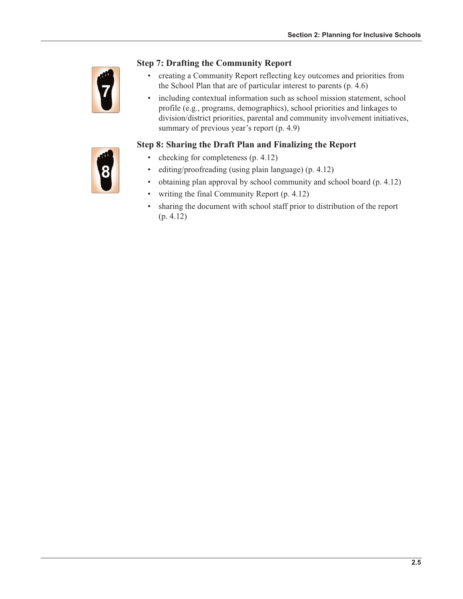

### **Step 7: Drafting the Community Report**

- creating a Community Report reflecting key outcomes and priorities from  $\bullet$ the School Plan that are of particular interest to parents  $(p. 4.6)$
- including contextual information such as school mission statement, school  $\bullet$ profile (e.g., programs, demographics), school priorities and linkages to division/district priorities, parental and community involvement initiatives, summary of previous year's report (p. 4.9)

### Step 8: Sharing the Draft Plan and Finalizing the Report



- $\bullet$ checking for completeness (p. 4.12)
- editing/proofreading (using plain language) (p. 4.12)
- obtaining plan approval by school community and school board (p. 4.12)  $\bullet$
- writing the final Community Report (p. 4.12)  $\bullet$
- sharing the document with school staff prior to distribution of the report  $\bullet$  $(p. 4.12)$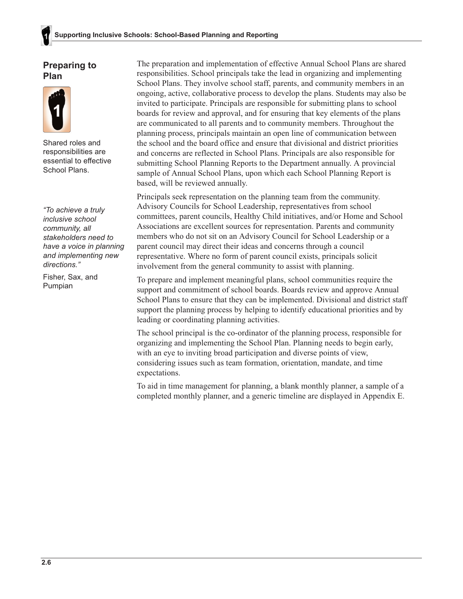### **Preparing to** Plan



Shared roles and responsibilities are essential to effective School Plans.

"To achieve a truly inclusive school community, all stakeholders need to have a voice in planning and implementing new directions."

Fisher, Sax, and Pumpian

The preparation and implementation of effective Annual School Plans are shared responsibilities. School principals take the lead in organizing and implementing School Plans. They involve school staff, parents, and community members in an ongoing, active, collaborative process to develop the plans. Students may also be invited to participate. Principals are responsible for submitting plans to school boards for review and approval, and for ensuring that key elements of the plans are communicated to all parents and to community members. Throughout the planning process, principals maintain an open line of communication between the school and the board office and ensure that divisional and district priorities and concerns are reflected in School Plans. Principals are also responsible for submitting School Planning Reports to the Department annually. A provincial sample of Annual School Plans, upon which each School Planning Report is based, will be reviewed annually.

Principals seek representation on the planning team from the community. Advisory Councils for School Leadership, representatives from school committees, parent councils, Healthy Child initiatives, and/or Home and School Associations are excellent sources for representation. Parents and community members who do not sit on an Advisory Council for School Leadership or a parent council may direct their ideas and concerns through a council representative. Where no form of parent council exists, principals solicit involvement from the general community to assist with planning.

To prepare and implement meaningful plans, school communities require the support and commitment of school boards. Boards review and approve Annual School Plans to ensure that they can be implemented. Divisional and district staff support the planning process by helping to identify educational priorities and by leading or coordinating planning activities.

The school principal is the co-ordinator of the planning process, responsible for organizing and implementing the School Plan. Planning needs to begin early, with an eye to inviting broad participation and diverse points of view, considering issues such as team formation, orientation, mandate, and time expectations.

To aid in time management for planning, a blank monthly planner, a sample of a completed monthly planner, and a generic timeline are displayed in Appendix E.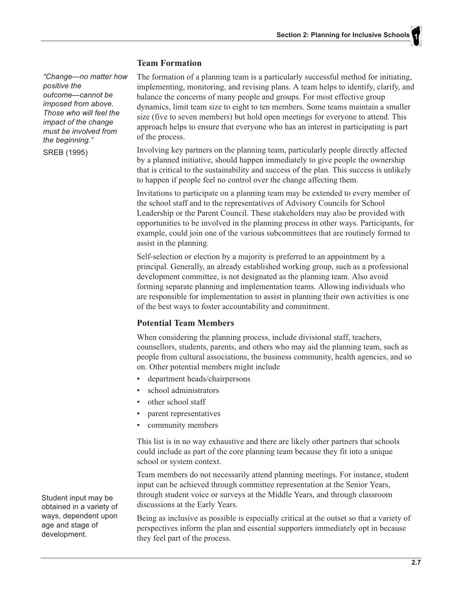#### **Team Formation**

"Change-no matter how positive the outcome-cannot be imposed from above. Those who will feel the impact of the change must be involved from the beginning."

SREB (1995)

The formation of a planning team is a particularly successful method for initiating, implementing, monitoring, and revising plans. A team helps to identify, clarify, and balance the concerns of many people and groups. For most effective group dynamics, limit team size to eight to ten members. Some teams maintain a smaller size (five to seven members) but hold open meetings for everyone to attend. This approach helps to ensure that everyone who has an interest in participating is part of the process.

Involving key partners on the planning team, particularly people directly affected by a planned initiative, should happen immediately to give people the ownership that is critical to the sustainability and success of the plan. This success is unlikely to happen if people feel no control over the change affecting them.

Invitations to participate on a planning team may be extended to every member of the school staff and to the representatives of Advisory Councils for School Leadership or the Parent Council. These stakeholders may also be provided with opportunities to be involved in the planning process in other ways. Participants, for example, could join one of the various subcommittees that are routinely formed to assist in the planning.

Self-selection or election by a majority is preferred to an appointment by a principal. Generally, an already established working group, such as a professional development committee, is not designated as the planning team. Also avoid forming separate planning and implementation teams. Allowing individuals who are responsible for implementation to assist in planning their own activities is one of the best ways to foster accountability and commitment.

#### **Potential Team Members**

When considering the planning process, include divisional staff, teachers, counsellors, students, parents, and others who may aid the planning team, such as people from cultural associations, the business community, health agencies, and so on. Other potential members might include

- department heads/chairpersons
- school administrators
- other school staff
- parent representatives
- community members

This list is in no way exhaustive and there are likely other partners that schools could include as part of the core planning team because they fit into a unique school or system context.

Team members do not necessarily attend planning meetings. For instance, student input can be achieved through committee representation at the Senior Years, through student voice or surveys at the Middle Years, and through classroom discussions at the Early Years.

Being as inclusive as possible is especially critical at the outset so that a variety of perspectives inform the plan and essential supporters immediately opt in because they feel part of the process.

Student input may be obtained in a variety of ways, dependent upon age and stage of development.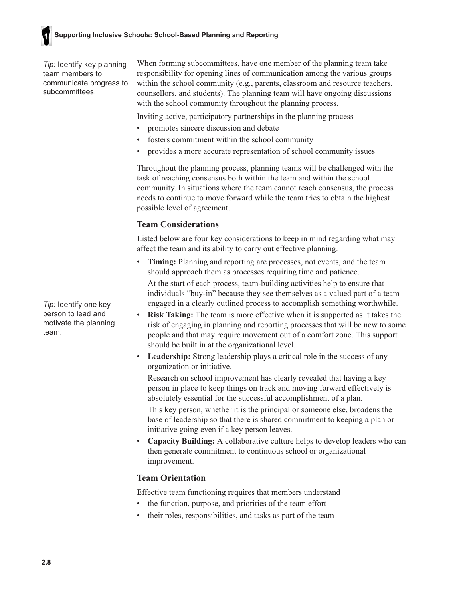*Tip:* Identify key planning team members to communicate progress to subcommittees.

When forming subcommittees, have one member of the planning team take responsibility for opening lines of communication among the various groups within the school community (e.g., parents, classroom and resource teachers, counsellors, and students). The planning team will have ongoing discussions with the school community throughout the planning process.

Inviting active, participatory partnerships in the planning process

- promotes sincere discussion and debate
- fosters commitment within the school community
- provides a more accurate representation of school community issues

Throughout the planning process, planning teams will be challenged with the task of reaching consensus both within the team and within the school community. In situations where the team cannot reach consensus, the process needs to continue to move forward while the team tries to obtain the highest possible level of agreement.

### **Team Considerations**

Listed below are four key considerations to keep in mind regarding what may affect the team and its ability to carry out effective planning.

- Timing: Planning and reporting are processes, not events, and the team should approach them as processes requiring time and patience. At the start of each process, team-building activities help to ensure that individuals "buy-in" because they see themselves as a valued part of a team engaged in a clearly outlined process to accomplish something worthwhile.
- $\bullet$ **Risk Taking:** The team is more effective when it is supported as it takes the risk of engaging in planning and reporting processes that will be new to some people and that may require movement out of a comfort zone. This support should be built in at the organizational level.
- $\bullet$  . **Leadership:** Strong leadership plays a critical role in the success of any organization or initiative.

Research on school improvement has clearly revealed that having a key person in place to keep things on track and moving forward effectively is absolutely essential for the successful accomplishment of a plan. This key person, whether it is the principal or someone else, broadens the base of leadership so that there is shared commitment to keeping a plan or initiative going even if a key person leaves.

**Capacity Building:** A collaborative culture helps to develop leaders who can then generate commitment to continuous school or organizational improvement.

### **Team Orientation**

Effective team functioning requires that members understand

- the function, purpose, and priorities of the team effort
- their roles, responsibilities, and tasks as part of the team

Tip: Identify one key person to lead and motivate the planning team.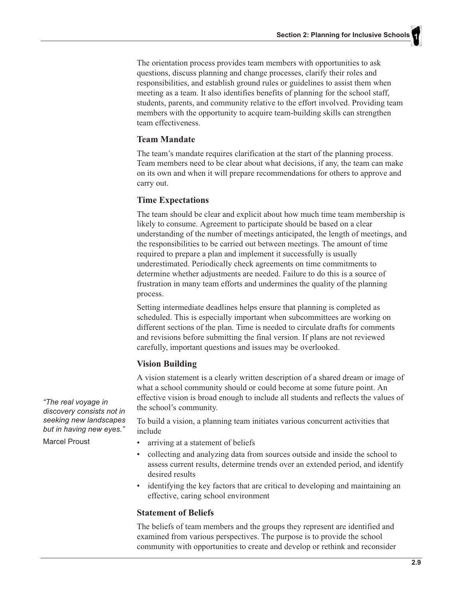The orientation process provides team members with opportunities to ask questions, discuss planning and change processes, clarify their roles and responsibilities, and establish ground rules or guidelines to assist them when meeting as a team. It also identifies benefits of planning for the school staff, students, parents, and community relative to the effort involved. Providing team members with the opportunity to acquire team-building skills can strengthen team effectiveness.

#### **Team Mandate**

The team's mandate requires clarification at the start of the planning process. Team members need to be clear about what decisions, if any, the team can make on its own and when it will prepare recommendations for others to approve and carry out.

#### **Time Expectations**

The team should be clear and explicit about how much time team membership is likely to consume. Agreement to participate should be based on a clear understanding of the number of meetings anticipated, the length of meetings, and the responsibilities to be carried out between meetings. The amount of time required to prepare a plan and implement it successfully is usually underestimated. Periodically check agreements on time commitments to determine whether adjustments are needed. Failure to do this is a source of frustration in many team efforts and undermines the quality of the planning process.

Setting intermediate deadlines helps ensure that planning is completed as scheduled. This is especially important when subcommittees are working on different sections of the plan. Time is needed to circulate drafts for comments and revisions before submitting the final version. If plans are not reviewed carefully, important questions and issues may be overlooked.

#### **Vision Building**

A vision statement is a clearly written description of a shared dream or image of what a school community should or could become at some future point. An effective vision is broad enough to include all students and reflects the values of the school's community.

To build a vision, a planning team initiates various concurrent activities that include

- arriving at a statement of beliefs
- collecting and analyzing data from sources outside and inside the school to assess current results, determine trends over an extended period, and identify desired results
- identifying the key factors that are critical to developing and maintaining an effective, caring school environment

#### **Statement of Beliefs**

The beliefs of team members and the groups they represent are identified and examined from various perspectives. The purpose is to provide the school community with opportunities to create and develop or rethink and reconsider

"The real voyage in discovery consists not in seeking new landscapes but in having new eyes."

**Marcel Proust**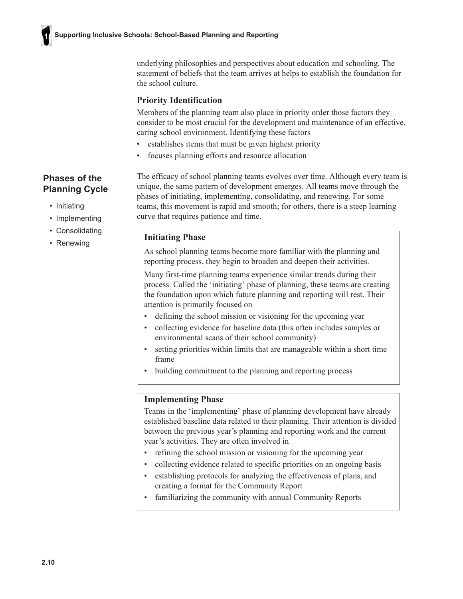underlying philosophies and perspectives about education and schooling. The statement of beliefs that the team arrives at helps to establish the foundation for the school culture.

#### **Priority Identification**

Members of the planning team also place in priority order those factors they consider to be most crucial for the development and maintenance of an effective, caring school environment. Identifying these factors

- $\bullet$ establishes items that must be given highest priority
- focuses planning efforts and resource allocation

### Phases of the **Planning Cycle**

- Initiating
- Implementing
- Consolidating
- Renewing

The efficacy of school planning teams evolves over time. Although every team is unique, the same pattern of development emerges. All teams move through the phases of initiating, implementing, consolidating, and renewing. For some teams, this movement is rapid and smooth; for others, there is a steep learning curve that requires patience and time.

#### **Initiating Phase**

As school planning teams become more familiar with the planning and reporting process, they begin to broaden and deepen their activities.

Many first-time planning teams experience similar trends during their process. Called the 'initiating' phase of planning, these teams are creating the foundation upon which future planning and reporting will rest. Their attention is primarily focused on

- defining the school mission or visioning for the upcoming year
- collecting evidence for baseline data (this often includes samples or environmental scans of their school community)
- setting priorities within limits that are manageable within a short time  $\bullet$ frame
- building commitment to the planning and reporting process

#### **Implementing Phase**

Teams in the 'implementing' phase of planning development have already established baseline data related to their planning. Their attention is divided between the previous year's planning and reporting work and the current year's activities. They are often involved in

- refining the school mission or visioning for the upcoming year
- collecting evidence related to specific priorities on an ongoing basis
- $\bullet$ establishing protocols for analyzing the effectiveness of plans, and creating a format for the Community Report
- familiarizing the community with annual Community Reports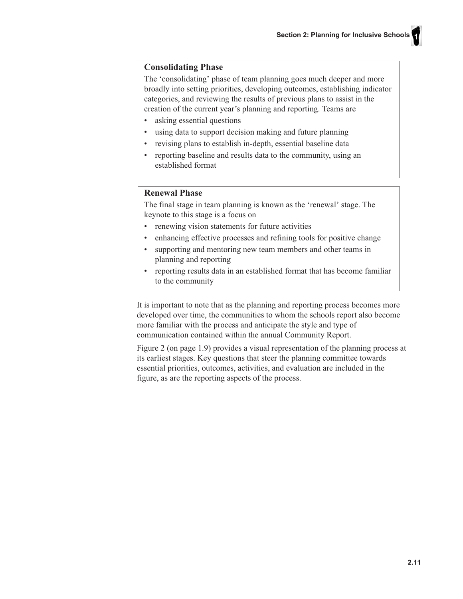#### **Consolidating Phase**

The 'consolidating' phase of team planning goes much deeper and more broadly into setting priorities, developing outcomes, establishing indicator categories, and reviewing the results of previous plans to assist in the creation of the current year's planning and reporting. Teams are

- asking essential questions
- using data to support decision making and future planning
- revising plans to establish in-depth, essential baseline data
- $\bullet$ reporting baseline and results data to the community, using an established format

### **Renewal Phase**

The final stage in team planning is known as the 'renewal' stage. The keynote to this stage is a focus on

- renewing vision statements for future activities
- $\bullet$ enhancing effective processes and refining tools for positive change
- supporting and mentoring new team members and other teams in planning and reporting
- reporting results data in an established format that has become familiar  $\bullet$ to the community

It is important to note that as the planning and reporting process becomes more developed over time, the communities to whom the schools report also become more familiar with the process and anticipate the style and type of communication contained within the annual Community Report.

Figure 2 (on page 1.9) provides a visual representation of the planning process at its earliest stages. Key questions that steer the planning committee towards essential priorities, outcomes, activities, and evaluation are included in the figure, as are the reporting aspects of the process.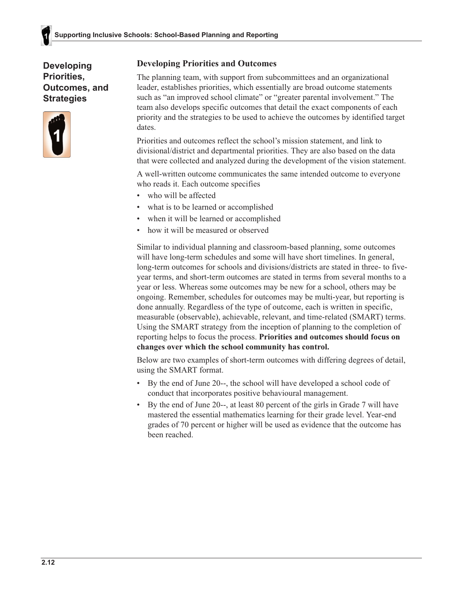**Developing Priorities. Outcomes, and Strategies** 



### **Developing Priorities and Outcomes**

The planning team, with support from subcommittees and an organizational leader, establishes priorities, which essentially are broad outcome statements such as "an improved school climate" or "greater parental involvement." The team also develops specific outcomes that detail the exact components of each priority and the strategies to be used to achieve the outcomes by identified target dates.

Priorities and outcomes reflect the school's mission statement, and link to divisional/district and departmental priorities. They are also based on the data that were collected and analyzed during the development of the vision statement.

A well-written outcome communicates the same intended outcome to everyone who reads it. Each outcome specifies

- who will be affected
- what is to be learned or accomplished
- when it will be learned or accomplished
- how it will be measured or observed

Similar to individual planning and classroom-based planning, some outcomes will have long-term schedules and some will have short timelines. In general, long-term outcomes for schools and divisions/districts are stated in three- to fiveyear terms, and short-term outcomes are stated in terms from several months to a year or less. Whereas some outcomes may be new for a school, others may be ongoing. Remember, schedules for outcomes may be multi-year, but reporting is done annually. Regardless of the type of outcome, each is written in specific, measurable (observable), achievable, relevant, and time-related (SMART) terms. Using the SMART strategy from the inception of planning to the completion of reporting helps to focus the process. Priorities and outcomes should focus on changes over which the school community has control.

Below are two examples of short-term outcomes with differing degrees of detail, using the SMART format.

- By the end of June 20--, the school will have developed a school code of  $\bullet$ conduct that incorporates positive behavioural management.
- By the end of June 20--, at least 80 percent of the girls in Grade 7 will have mastered the essential mathematics learning for their grade level. Year-end grades of 70 percent or higher will be used as evidence that the outcome has been reached.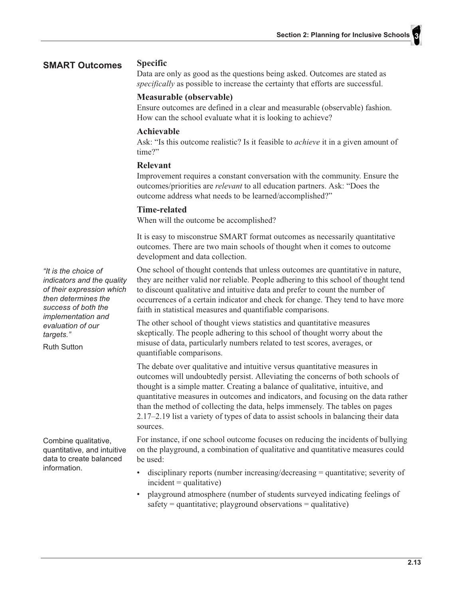#### **SMART Outcomes**

**Specific** 

Data are only as good as the questions being asked. Outcomes are stated as specifically as possible to increase the certainty that efforts are successful.

#### Measurable (observable)

Ensure outcomes are defined in a clear and measurable (observable) fashion. How can the school evaluate what it is looking to achieve?

#### Achievable

Ask: "Is this outcome realistic? Is it feasible to *achieve* it in a given amount of time?"

#### **Relevant**

Improvement requires a constant conversation with the community. Ensure the outcomes/priorities are *relevant* to all education partners. Ask: "Does the outcome address what needs to be learned/accomplished?"

#### Time-related

When will the outcome be accomplished?

It is easy to misconstrue SMART format outcomes as necessarily quantitative outcomes. There are two main schools of thought when it comes to outcome development and data collection.

"It is the choice of indicators and the quality of their expression which then determines the success of both the implementation and evaluation of our targets."

**Ruth Sutton** 

Combine qualitative, quantitative, and intuitive data to create balanced information

One school of thought contends that unless outcomes are quantitative in nature, they are neither valid nor reliable. People adhering to this school of thought tend to discount qualitative and intuitive data and prefer to count the number of occurrences of a certain indicator and check for change. They tend to have more faith in statistical measures and quantifiable comparisons.

The other school of thought views statistics and quantitative measures skeptically. The people adhering to this school of thought worry about the misuse of data, particularly numbers related to test scores, averages, or quantifiable comparisons.

The debate over qualitative and intuitive versus quantitative measures in outcomes will undoubtedly persist. Alleviating the concerns of both schools of thought is a simple matter. Creating a balance of qualitative, intuitive, and quantitative measures in outcomes and indicators, and focusing on the data rather than the method of collecting the data, helps immensely. The tables on pages 2.17–2.19 list a variety of types of data to assist schools in balancing their data sources.

For instance, if one school outcome focuses on reducing the incidents of bullying on the playground, a combination of qualitative and quantitative measures could be used:

- disciplinary reports (number increasing/decreasing  $=$  quantitative; severity of  $incident = qualitative)$
- $\bullet$ playground atmosphere (number of students surveyed indicating feelings of safety = quantitative; playground observations = qualitative)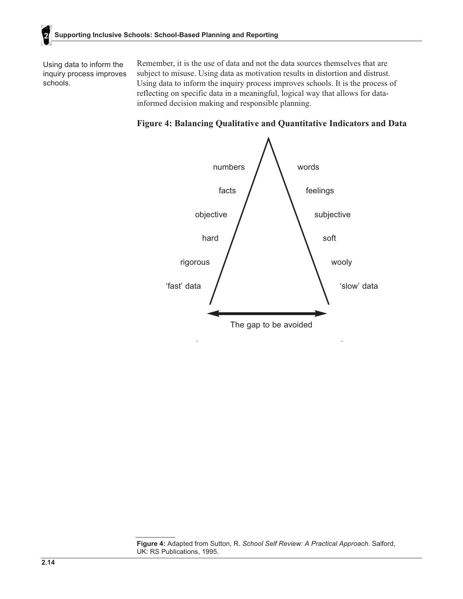Using data to inform the inquiry process improves schools.

Remember, it is the use of data and not the data sources themselves that are subject to misuse. Using data as motivation results in distortion and distrust. Using data to inform the inquiry process improves schools. It is the process of reflecting on specific data in a meaningful, logical way that allows for datainformed decision making and responsible planning.





Figure 4: Adapted from Sutton, R. School Self Review: A Practical Approach. Salford, UK: RS Publications, 1995.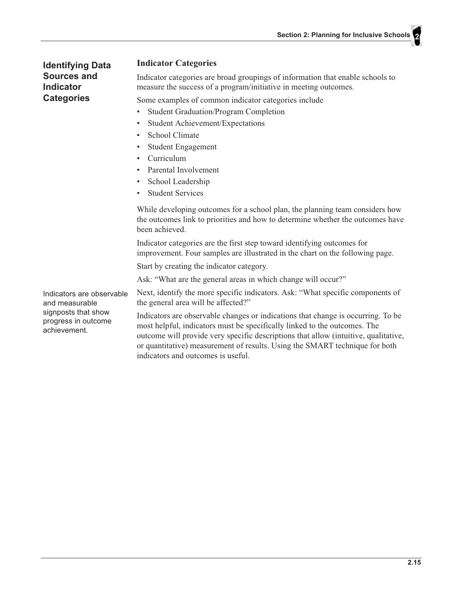**Section 2: Planning for Inclusive Schools** 

**Identifying Data** Sources and **Indicator Categories** 

#### **Indicator Categories**

Indicator categories are broad groupings of information that enable schools to measure the success of a program/initiative in meeting outcomes.

Some examples of common indicator categories include

- $\bullet$ **Student Graduation/Program Completion**
- **Student Achievement/Expectations**  $\bullet$
- School Climate
- **Student Engagement**  $\bullet$
- Curriculum  $\bullet$
- $\bullet$ Parental Involvement
- School Leadership  $\bullet$
- **Student Services**  $\bullet$

While developing outcomes for a school plan, the planning team considers how the outcomes link to priorities and how to determine whether the outcomes have been achieved.

Indicator categories are the first step toward identifying outcomes for improvement. Four samples are illustrated in the chart on the following page.

Start by creating the indicator category.

Ask: "What are the general areas in which change will occur?"

Indicators are observable and measurable signposts that show progress in outcome achievement.

Next, identify the more specific indicators. Ask: "What specific components of the general area will be affected?"

Indicators are observable changes or indications that change is occurring. To be most helpful, indicators must be specifically linked to the outcomes. The outcome will provide very specific descriptions that allow (intuitive, qualitative, or quantitative) measurement of results. Using the SMART technique for both indicators and outcomes is useful.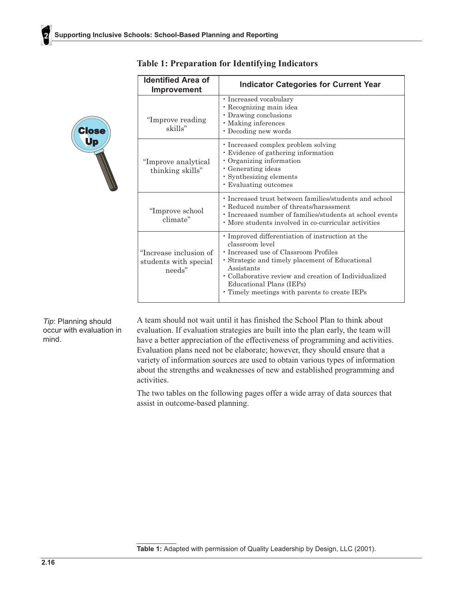| <b>Identified Area of</b><br><b>Improvement</b>           | <b>Indicator Categories for Current Year</b>                                                                                                                                                                                                                                                                        |
|-----------------------------------------------------------|---------------------------------------------------------------------------------------------------------------------------------------------------------------------------------------------------------------------------------------------------------------------------------------------------------------------|
| "Improve reading<br>skills"                               | • Increased vocabulary<br>• Recognizing main idea<br>• Drawing conclusions<br>· Making inferences<br>• Decoding new words                                                                                                                                                                                           |
| "Improve analytical<br>thinking skills"                   | • Increased complex problem solving<br>Evidence of gathering information<br>• Organizing information<br>• Generating ideas<br>• Synthesizing elements<br>• Evaluating outcomes                                                                                                                                      |
| "Improve school"<br>climate"                              | • Increased trust between families/students and school<br>• Reduced number of threats/harassment<br>• Increased number of families/students at school events<br>• More students involved in co-curricular activities                                                                                                |
| "Increase inclusion of<br>students with special<br>needs" | · Improved differentiation of instruction at the<br>classroom level<br>• Increased use of Classroom Profiles<br>• Strategic and timely placement of Educational<br>Assistants<br>· Collaborative review and creation of Individualized<br>Educational Plans (IEPs)<br>• Timely meetings with parents to create IEPs |

### **Table 1: Preparation for Identifying Indicators**

Tip: Planning should occur with evaluation in mind.

Close<br>Up<br>**William** 

A team should not wait until it has finished the School Plan to think about evaluation. If evaluation strategies are built into the plan early, the team will have a better appreciation of the effectiveness of programming and activities. Evaluation plans need not be elaborate; however, they should ensure that a variety of information sources are used to obtain various types of information about the strengths and weaknesses of new and established programming and activities.

The two tables on the following pages offer a wide array of data sources that assist in outcome-based planning.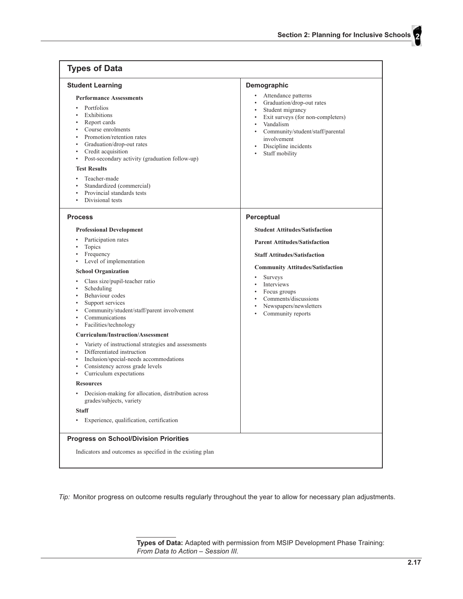| Attendance patterns<br><b>Performance Assessments</b><br>Graduation/drop-out rates<br>$\bullet$<br>Portfolios<br>Student migrancy<br>Exhibitions<br>٠<br>Exit surveys (for non-completers)<br>Report cards<br>Vandalism<br>$\bullet$<br>Course enrolments<br>$\bullet$<br>Community/student/staff/parental<br>Promotion/retention rates<br>involvement<br>Graduation/drop-out rates<br>$\bullet$<br>Discipline incidents<br>$\bullet$<br>Credit acquisition<br>$\bullet$<br>Staff mobility<br>$\bullet$<br>Post-secondary activity (graduation follow-up)<br>٠<br><b>Test Results</b><br>Teacher-made<br>٠<br>Standardized (commercial)<br>Provincial standards tests<br>$\bullet$<br>Divisional tests<br>٠<br>Perceptual<br><b>Process</b><br><b>Student Attitudes/Satisfaction</b><br><b>Professional Development</b><br>Participation rates<br>$\bullet$<br><b>Parent Attitudes/Satisfaction</b><br>Topics<br>٠<br>Frequency<br><b>Staff Attitudes/Satisfaction</b><br>Level of implementation<br>٠<br><b>Community Attitudes/Satisfaction</b><br><b>School Organization</b><br><b>Surveys</b><br>Class size/pupil-teacher ratio<br>$\bullet$<br>Interviews<br>$\bullet$<br>Scheduling<br>$\bullet$<br>Focus groups<br>$\bullet$<br>Behaviour codes<br>Comments/discussions<br>Support services<br>٠<br>Newspapers/newsletters<br>$\bullet$<br>Community/student/staff/parent involvement<br>$\bullet$<br>Community reports<br>Communications<br>$\bullet$<br>Facilities/technology<br>$\bullet$<br><b>Curriculum/Instruction/Assessment</b><br>Variety of instructional strategies and assessments<br>$\bullet$<br>Differentiated instruction<br>$\bullet$<br>Inclusion/special-needs accommodations<br>$\bullet$<br>Consistency across grade levels<br>٠<br>Curriculum expectations<br>٠<br><b>Resources</b><br>Decision-making for allocation, distribution across<br>٠<br>grades/subjects, variety<br><b>Staff</b><br>Experience, qualification, certification<br>٠ | <b>Student Learning</b> | Demographic |
|----------------------------------------------------------------------------------------------------------------------------------------------------------------------------------------------------------------------------------------------------------------------------------------------------------------------------------------------------------------------------------------------------------------------------------------------------------------------------------------------------------------------------------------------------------------------------------------------------------------------------------------------------------------------------------------------------------------------------------------------------------------------------------------------------------------------------------------------------------------------------------------------------------------------------------------------------------------------------------------------------------------------------------------------------------------------------------------------------------------------------------------------------------------------------------------------------------------------------------------------------------------------------------------------------------------------------------------------------------------------------------------------------------------------------------------------------------------------------------------------------------------------------------------------------------------------------------------------------------------------------------------------------------------------------------------------------------------------------------------------------------------------------------------------------------------------------------------------------------------------------------------------------------------------------------------------------------------------------|-------------------------|-------------|
|                                                                                                                                                                                                                                                                                                                                                                                                                                                                                                                                                                                                                                                                                                                                                                                                                                                                                                                                                                                                                                                                                                                                                                                                                                                                                                                                                                                                                                                                                                                                                                                                                                                                                                                                                                                                                                                                                                                                                                            |                         |             |
|                                                                                                                                                                                                                                                                                                                                                                                                                                                                                                                                                                                                                                                                                                                                                                                                                                                                                                                                                                                                                                                                                                                                                                                                                                                                                                                                                                                                                                                                                                                                                                                                                                                                                                                                                                                                                                                                                                                                                                            |                         |             |
|                                                                                                                                                                                                                                                                                                                                                                                                                                                                                                                                                                                                                                                                                                                                                                                                                                                                                                                                                                                                                                                                                                                                                                                                                                                                                                                                                                                                                                                                                                                                                                                                                                                                                                                                                                                                                                                                                                                                                                            |                         |             |
|                                                                                                                                                                                                                                                                                                                                                                                                                                                                                                                                                                                                                                                                                                                                                                                                                                                                                                                                                                                                                                                                                                                                                                                                                                                                                                                                                                                                                                                                                                                                                                                                                                                                                                                                                                                                                                                                                                                                                                            |                         |             |
|                                                                                                                                                                                                                                                                                                                                                                                                                                                                                                                                                                                                                                                                                                                                                                                                                                                                                                                                                                                                                                                                                                                                                                                                                                                                                                                                                                                                                                                                                                                                                                                                                                                                                                                                                                                                                                                                                                                                                                            |                         |             |

Tip: Monitor progress on outcome results regularly throughout the year to allow for necessary plan adjustments.

Types of Data: Adapted with permission from MSIP Development Phase Training:<br>From Data to Action - Session III.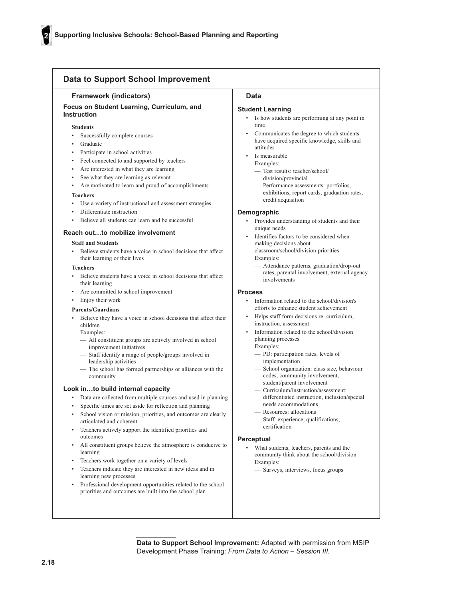| <b>Data to Support School Improvement</b>                                                                                                                                                                                                                                                                                                                                                                                                                                                                                                                                                                                                                                                                                                                                                                                                                                                                                    |                                                                                                                                                                                                                                                                                                                                                                                                                                                                                                                                                                                                                                                                                                                                                                               |
|------------------------------------------------------------------------------------------------------------------------------------------------------------------------------------------------------------------------------------------------------------------------------------------------------------------------------------------------------------------------------------------------------------------------------------------------------------------------------------------------------------------------------------------------------------------------------------------------------------------------------------------------------------------------------------------------------------------------------------------------------------------------------------------------------------------------------------------------------------------------------------------------------------------------------|-------------------------------------------------------------------------------------------------------------------------------------------------------------------------------------------------------------------------------------------------------------------------------------------------------------------------------------------------------------------------------------------------------------------------------------------------------------------------------------------------------------------------------------------------------------------------------------------------------------------------------------------------------------------------------------------------------------------------------------------------------------------------------|
| <b>Framework (indicators)</b>                                                                                                                                                                                                                                                                                                                                                                                                                                                                                                                                                                                                                                                                                                                                                                                                                                                                                                | Data                                                                                                                                                                                                                                                                                                                                                                                                                                                                                                                                                                                                                                                                                                                                                                          |
| Focus on Student Learning, Curriculum, and<br><b>Instruction</b>                                                                                                                                                                                                                                                                                                                                                                                                                                                                                                                                                                                                                                                                                                                                                                                                                                                             | <b>Student Learning</b><br>Is how students are performing at any point in<br>$\bullet$                                                                                                                                                                                                                                                                                                                                                                                                                                                                                                                                                                                                                                                                                        |
| <b>Students</b><br>Successfully complete courses<br>٠<br>Graduate<br>$\bullet$<br>Participate in school activities<br>$\bullet$<br>Feel connected to and supported by teachers<br>$\bullet$<br>Are interested in what they are learning<br>$\bullet$<br>See what they are learning as relevant<br>$\bullet$<br>Are motivated to learn and proud of accomplishments<br>$\bullet$<br><b>Teachers</b><br>Use a variety of instructional and assessment strategies<br>Differentiate instruction<br>$\bullet$<br>Believe all students can learn and be successful<br>$\bullet$<br>Reach outto mobilize involvement<br><b>Staff and Students</b><br>Believe students have a voice in school decisions that affect<br>$\bullet$<br>their learning or their lives<br><b>Teachers</b><br>Believe students have a voice in school decisions that affect<br>$\bullet$                                                                   | time<br>Communicates the degree to which students<br>have acquired specific knowledge, skills and<br>attitudes<br>Is measurable<br>Examples:<br>- Test results: teacher/school/<br>division/provincial<br>- Performance assessments: portfolios,<br>exhibitions, report cards, graduation rates,<br>credit acquisition<br>Demographic<br>Provides understanding of students and their<br>unique needs<br>Identifies factors to be considered when<br>making decisions about<br>classroom/school/division priorities<br>Examples:<br>- Attendance patterns, graduation/drop-out<br>rates, parental involvement, external agency<br>involvements                                                                                                                                |
| their learning<br>Are committed to school improvement<br>٠                                                                                                                                                                                                                                                                                                                                                                                                                                                                                                                                                                                                                                                                                                                                                                                                                                                                   | <b>Process</b>                                                                                                                                                                                                                                                                                                                                                                                                                                                                                                                                                                                                                                                                                                                                                                |
| Enjoy their work<br><b>Parents/Guardians</b><br>Believe they have a voice in school decisions that affect their<br>٠<br>children<br>Examples:<br>- All constituent groups are actively involved in school<br>improvement initiatives<br>- Staff identify a range of people/groups involved in<br>leadership activities<br>- The school has formed partnerships or alliances with the<br>community<br>Look into build internal capacity<br>Data are collected from multiple sources and used in planning<br>٠<br>Specific times are set aside for reflection and planning<br>$\bullet$<br>School vision or mission, priorities, and outcomes are clearly<br>٠<br>articulated and coherent<br>Teachers actively support the identified priorities and<br>$\bullet$<br>outcomes<br>All constituent groups believe the atmosphere is conducive to<br>٠<br>learning<br>Teachers work together on a variety of levels<br>$\bullet$ | Information related to the school/division's<br>efforts to enhance student achievement<br>Helps staff form decisions re: curriculum,<br>$\bullet$<br>instruction, assessment<br>Information related to the school/division<br>planning processes<br>Examples:<br>- PD: participation rates, levels of<br>implementation<br>- School organization: class size, behaviour<br>codes, community involvement,<br>student/parent involvement<br>- Curriculum/instruction/assessment:<br>differentiated instruction, inclusion/special<br>needs accommodations<br>- Resources: allocations<br>- Staff: experience, qualifications,<br>certification<br>Perceptual<br>What students, teachers, parents and the<br>$\bullet$<br>community think about the school/division<br>Examples: |
| Teachers indicate they are interested in new ideas and in<br>$\bullet$<br>learning new processes<br>Professional development opportunities related to the school<br>$\bullet$                                                                                                                                                                                                                                                                                                                                                                                                                                                                                                                                                                                                                                                                                                                                                | - Surveys, interviews, focus groups                                                                                                                                                                                                                                                                                                                                                                                                                                                                                                                                                                                                                                                                                                                                           |

Data to Support School Improvement: Adapted with permission from MSIP Development Phase Training: From Data to Action - Session III.

priorities and outcomes are built into the school plan

2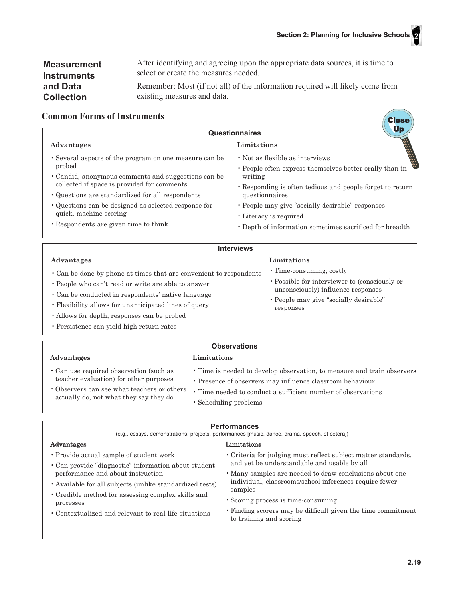| <b>Measurement</b> | After identifying and agreeing upon the appropriate data sources, it is time to |
|--------------------|---------------------------------------------------------------------------------|
| <b>Instruments</b> | select or create the measures needed.                                           |
| and Data           | Remember: Most (if not all) of the information required will likely come from   |
| <b>Collection</b>  | existing measures and data.                                                     |

#### **Common Forms of Instruments**

|                                                                                                                                                                                                                            | Ur<br>Questionnaires                                                                                                                                                                 |
|----------------------------------------------------------------------------------------------------------------------------------------------------------------------------------------------------------------------------|--------------------------------------------------------------------------------------------------------------------------------------------------------------------------------------|
| Advantages                                                                                                                                                                                                                 | Limitations                                                                                                                                                                          |
| • Several aspects of the program on one measure can be<br>probed<br>• Candid, anonymous comments and suggestions can be<br>collected if space is provided for comments<br>• Questions are standardized for all respondents | • Not as flexible as interviews<br>• People often express themselves better orally than in<br>writing<br>• Responding is often tedious and people forget to return<br>questionnaires |
| • Questions can be designed as selected response for<br>quick, machine scoring<br>. Respondents are given time to think                                                                                                    | • People may give "socially desirable" responses<br>• Literacy is required<br>• Depth of information sometimes sacrificed for breadth                                                |
|                                                                                                                                                                                                                            | <b>Interviews</b>                                                                                                                                                                    |
| Advantages                                                                                                                                                                                                                 | Limitations                                                                                                                                                                          |

| • Can be done by phone at times that are convenient to respondents | • Time-consuming; costly                      |
|--------------------------------------------------------------------|-----------------------------------------------|
| • People who can't read or write are able to answer                | • Possible for interviewer to (consciously or |
| • Can be conducted in respondents' native language                 | unconsciously) influence responses            |
|                                                                    | • People may give "socially desirable"        |

- Flexibility allows for unanticipated lines of query
- · Allows for depth; responses can be probed
- · Persistence can yield high return rates

#### **Observations**

**Advantages** 

Advantages

- Limitations
- · Can use required observation (such as teacher evaluation) for other purposes
- Observers can see what teachers or others actually do, not what they say they do
- · Time is needed to develop observation, to measure and train observers
- Presence of observers may influence classroom behaviour

responses

- Time needed to conduct a sufficient number of observations
- · Scheduling problems

#### **Performances**

(e.g., essays, demonstrations, projects, performances [music, dance, drama, speech, et cetera])

#### Limitations

- · Provide actual sample of student work
- · Can provide "diagnostic" information about student performance and about instruction
- · Available for all subjects (unlike standardized tests)
- Credible method for assessing complex skills and processes
- Contextualized and relevant to real-life situations
- Criteria for judging must reflect subject matter standards, and yet be understandable and usable by all
- · Many samples are needed to draw conclusions about one individual; classrooms/school inferences require fewer samples
- Scoring process is time-consuming
- Finding scorers may be difficult given the time commitment to training and scoring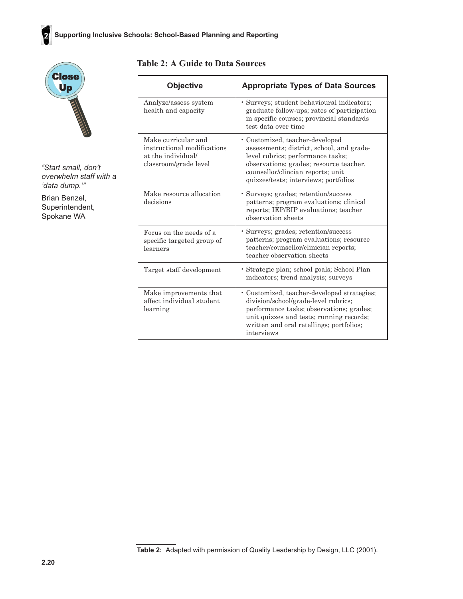

2

"Start small, don't overwhelm staff with a 'data dump.""

Brian Benzel, Superintendent, Spokane WA

### **Table 2: A Guide to Data Sources**

| <b>Objective</b>                                                                                  | <b>Appropriate Types of Data Sources</b>                                                                                                                                                                                                   |
|---------------------------------------------------------------------------------------------------|--------------------------------------------------------------------------------------------------------------------------------------------------------------------------------------------------------------------------------------------|
| Analyze/assess system<br>health and capacity                                                      | · Surveys; student behavioural indicators;<br>graduate follow-ups; rates of participation<br>in specific courses; provincial standards<br>test data over time                                                                              |
| Make curricular and<br>instructional modifications<br>at the individual/<br>classroom/grade level | · Customized, teacher-developed<br>assessments; district, school, and grade-<br>level rubrics; performance tasks;<br>observations; grades; resource teacher,<br>counsellor/clincian reports; unit<br>quizzes/tests; interviews; portfolios |
| Make resource allocation<br>decisions                                                             | • Surveys; grades; retention/success<br>patterns; program evaluations; clinical<br>reports; IEP/BIP evaluations; teacher<br>observation sheets                                                                                             |
| Focus on the needs of a<br>specific targeted group of<br>learners                                 | · Surveys; grades; retention/success<br>patterns; program evaluations; resource<br>teacher/counsellor/clinician reports;<br>teacher observation sheets                                                                                     |
| Target staff development                                                                          | • Strategic plan; school goals; School Plan<br>indicators; trend analysis; surveys                                                                                                                                                         |
| Make improvements that<br>affect individual student<br>learning                                   | • Customized, teacher-developed strategies;<br>division/school/grade-level rubrics;<br>performance tasks; observations; grades;<br>unit quizzes and tests; running records;<br>written and oral retellings; portfolios;<br>interviews      |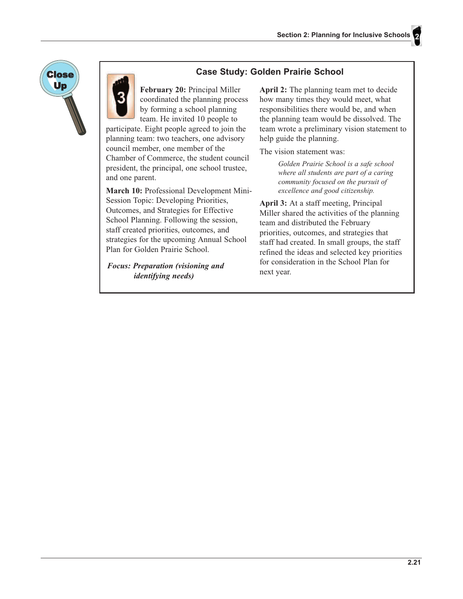

### **Case Study: Golden Prairie School**

February 20: Principal Miller coordinated the planning process by forming a school planning team. He invited 10 people to

participate. Eight people agreed to join the planning team: two teachers, one advisory council member, one member of the Chamber of Commerce, the student council president, the principal, one school trustee, and one parent.

March 10: Professional Development Mini-Session Topic: Developing Priorities, Outcomes, and Strategies for Effective School Planning. Following the session, staff created priorities, outcomes, and strategies for the upcoming Annual School Plan for Golden Prairie School.

**Focus: Preparation (visioning and** *identifying needs)* 

**April 2:** The planning team met to decide how many times they would meet, what responsibilities there would be, and when the planning team would be dissolved. The team wrote a preliminary vision statement to help guide the planning.

The vision statement was:

Golden Prairie School is a safe school where all students are part of a caring community focused on the pursuit of excellence and good citizenship.

April 3: At a staff meeting, Principal Miller shared the activities of the planning team and distributed the February priorities, outcomes, and strategies that staff had created. In small groups, the staff refined the ideas and selected key priorities for consideration in the School Plan for next year.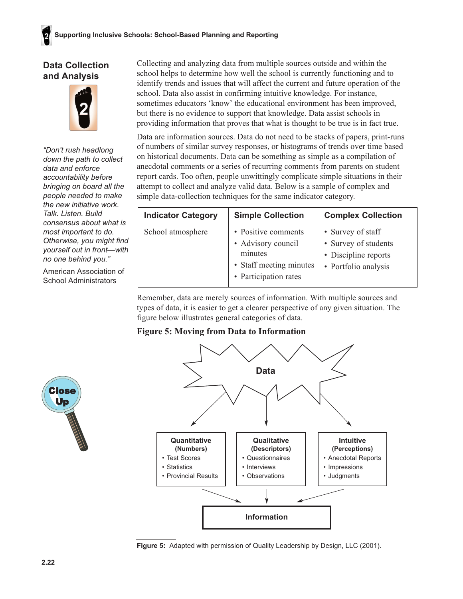### **Data Collection** and Analysis



"Don't rush headlong down the path to collect data and enforce accountability before bringing on board all the people needed to make the new initiative work. Talk, Listen, Build consensus about what is most important to do. Otherwise, you might find yourself out in front-with no one behind you."

American Association of **School Administrators** 

Collecting and analyzing data from multiple sources outside and within the school helps to determine how well the school is currently functioning and to identify trends and issues that will affect the current and future operation of the school. Data also assist in confirming intuitive knowledge. For instance, sometimes educators 'know' the educational environment has been improved, but there is no evidence to support that knowledge. Data assist schools in providing information that proves that what is thought to be true is in fact true.

Data are information sources. Data do not need to be stacks of papers, print-runs of numbers of similar survey responses, or histograms of trends over time based on historical documents. Data can be something as simple as a compilation of anecdotal comments or a series of recurring comments from parents on student report cards. Too often, people unwittingly complicate simple situations in their attempt to collect and analyze valid data. Below is a sample of complex and simple data-collection techniques for the same indicator category.

| <b>Indicator Category</b> | <b>Simple Collection</b>                                                                                 | <b>Complex Collection</b>                                                                 |
|---------------------------|----------------------------------------------------------------------------------------------------------|-------------------------------------------------------------------------------------------|
| School atmosphere         | • Positive comments<br>• Advisory council<br>minutes<br>• Staff meeting minutes<br>• Participation rates | • Survey of staff<br>• Survey of students<br>• Discipline reports<br>• Portfolio analysis |

Remember, data are merely sources of information. With multiple sources and types of data, it is easier to get a clearer perspective of any given situation. The figure below illustrates general categories of data.

### **Figure 5: Moving from Data to Information**





Figure 5: Adapted with permission of Quality Leadership by Design, LLC (2001).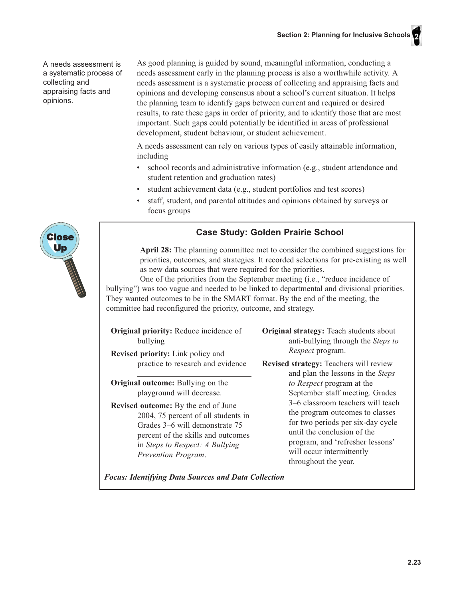A needs assessment is a systematic process of collecting and appraising facts and opinions.

As good planning is guided by sound, meaningful information, conducting a needs assessment early in the planning process is also a worthwhile activity. A needs assessment is a systematic process of collecting and appraising facts and opinions and developing consensus about a school's current situation. It helps the planning team to identify gaps between current and required or desired results, to rate these gaps in order of priority, and to identify those that are most important. Such gaps could potentially be identified in areas of professional development, student behaviour, or student achievement.

A needs assessment can rely on various types of easily attainable information, including

- school records and administrative information (e.g., student attendance and  $\bullet$ student retention and graduation rates)
- student achievement data (e.g., student portfolios and test scores)
- staff, student, and parental attitudes and opinions obtained by surveys or focus groups

### **Case Study: Golden Prairie School**

April 28: The planning committee met to consider the combined suggestions for priorities, outcomes, and strategies. It recorded selections for pre-existing as well as new data sources that were required for the priorities.

One of the priorities from the September meeting (i.e., "reduce incidence of bullying") was too vague and needed to be linked to departmental and divisional priorities. They wanted outcomes to be in the SMART format. By the end of the meeting, the committee had reconfigured the priority, outcome, and strategy.

| <b>Original priority:</b> Reduce incidence of<br>bullying<br><b>Revised priority:</b> Link policy and                                                                                                                                                                                        | <b>Original strategy:</b> Teach students about<br>anti-bullying through the Steps to<br><i>Respect</i> program.                                                                                                                                                                                   |
|----------------------------------------------------------------------------------------------------------------------------------------------------------------------------------------------------------------------------------------------------------------------------------------------|---------------------------------------------------------------------------------------------------------------------------------------------------------------------------------------------------------------------------------------------------------------------------------------------------|
| practice to research and evidence                                                                                                                                                                                                                                                            | <b>Revised strategy: Teachers will review</b><br>and plan the lessons in the Steps                                                                                                                                                                                                                |
| <b>Original outcome:</b> Bullying on the<br>playground will decrease.<br><b>Revised outcome:</b> By the end of June<br>2004, 75 percent of all students in<br>Grades 3–6 will demonstrate 75<br>percent of the skills and outcomes<br>in Steps to Respect: A Bullying<br>Prevention Program. | to Respect program at the<br>September staff meeting. Grades<br>3–6 classroom teachers will teach<br>the program outcomes to classes<br>for two periods per six-day cycle<br>until the conclusion of the<br>program, and 'refresher lessons'<br>will occur intermittently<br>throughout the year. |
| <b>Focus: Identifying Data Sources and Data Collection</b>                                                                                                                                                                                                                                   |                                                                                                                                                                                                                                                                                                   |

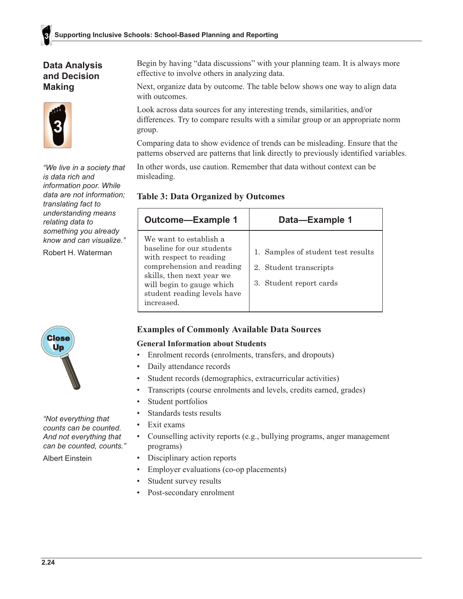### **Data Analysis** and Decision **Making**



"We live in a society that is data rich and information poor. While data are not information; translating fact to understanding means relating data to something you already know and can visualize."

Robert H. Waterman

Begin by having "data discussions" with your planning team. It is always more effective to involve others in analyzing data.

Next, organize data by outcome. The table below shows one way to align data with outcomes.

Look across data sources for any interesting trends, similarities, and/or differences. Try to compare results with a similar group or an appropriate norm group.

Comparing data to show evidence of trends can be misleading. Ensure that the patterns observed are patterns that link directly to previously identified variables.

In other words, use caution. Remember that data without context can be misleading.

### **Table 3: Data Organized by Outcomes**

| <b>Outcome-Example 1</b>                                                                                                                                                                                           | Data-Example 1                                                                          |
|--------------------------------------------------------------------------------------------------------------------------------------------------------------------------------------------------------------------|-----------------------------------------------------------------------------------------|
| We want to establish a<br>baseline for our students<br>with respect to reading<br>comprehension and reading<br>skills, then next year we<br>will begin to gauge which<br>student reading levels have<br>increased. | 1. Samples of student test results<br>2. Student transcripts<br>3. Student report cards |

#### **Examples of Commonly Available Data Sources**

#### **General Information about Students**

- Enrolment records (enrolments, transfers, and dropouts)
- Daily attendance records
- Student records (demographics, extracurricular activities)
- $\bullet$ Transcripts (course enrolments and levels, credits earned, grades)
- Student portfolios  $\bullet$
- Standards tests results  $\bullet$
- $\bullet$ Exit exams
- $\bullet$ Counselling activity reports (e.g., bullying programs, anger management programs)
- Disciplinary action reports
	- Employer evaluations (co-op placements)
	- Student survey results
	- Post-secondary enrolment



"Not everything that counts can be counted. And not everything that can be counted, counts."

**Albert Einstein**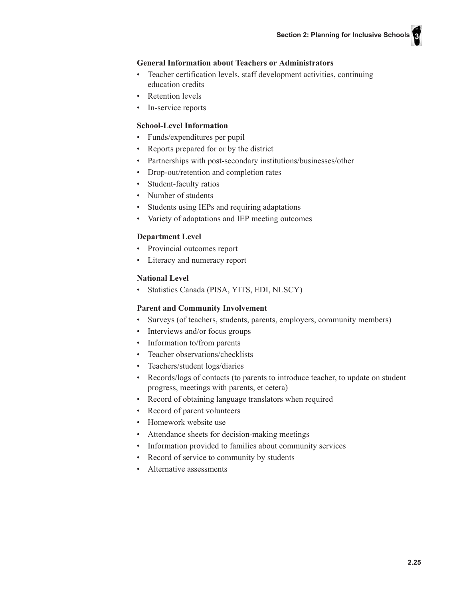#### **General Information about Teachers or Administrators**

- Teacher certification levels, staff development activities, continuing education credits
- Retention levels
- In-service reports  $\bullet$

#### **School-Level Information**

- Funds/expenditures per pupil
- Reports prepared for or by the district  $\bullet$
- Partnerships with post-secondary institutions/businesses/other  $\bullet$
- Drop-out/retention and completion rates  $\bullet$
- Student-faculty ratios
- Number of students
- Students using IEPs and requiring adaptations  $\bullet$
- Variety of adaptations and IEP meeting outcomes

#### **Department Level**

- Provincial outcomes report
- $\bullet$ Literacy and numeracy report

#### **National Level**

· Statistics Canada (PISA, YITS, EDI, NLSCY)

#### **Parent and Community Involvement**

- Surveys (of teachers, students, parents, employers, community members)
- $\bullet$  . Interviews and/or focus groups
- Information to/from parents  $\bullet$
- Teacher observations/checklists  $\bullet$
- Teachers/student logs/diaries  $\bullet$
- Records/logs of contacts (to parents to introduce teacher, to update on student progress, meetings with parents, et cetera)
- Record of obtaining language translators when required
- $\bullet$ Record of parent volunteers
- Homework website use
- Attendance sheets for decision-making meetings
- Information provided to families about community services
- Record of service to community by students
- Alternative assessments